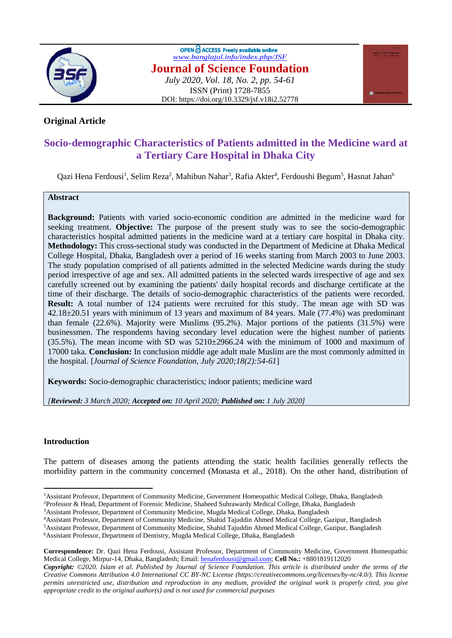

OPEN C ACCESS Freely available online *[www.banglajol.info/index.php/JSF](http://www.banglajol.info/index.php/JSF)* **Journal of Science Foundation** *July 2020, Vol. 18, No. 2, pp. 54-61* ISSN (Print) 1728-7855 DOI: https://doi.org/10.3329/jsf.v18i2.52778



# **Original Article**

# **Socio-demographic Characteristics of Patients admitted in the Medicine ward at a Tertiary Care Hospital in Dhaka City**

Qazi Hena Ferdousi<sup>1</sup>, Selim Reza<sup>2</sup>, Mahibun Nahar<sup>3</sup>, Rafia Akter<sup>4</sup>, Ferdoushi Begum<sup>5</sup>, Hasnat Jahan<sup>6</sup>

## **Abstract**

**Background:** Patients with varied socio-economic condition are admitted in the medicine ward for seeking treatment. **Objective:** The purpose of the present study was to see the socio-demographic characteristics hospital admitted patients in the medicine ward at a tertiary care hospital in Dhaka city. **Methodology:** This cross-sectional study was conducted in the Department of Medicine at Dhaka Medical College Hospital, Dhaka, Bangladesh over a period of 16 weeks starting from March 2003 to June 2003. The study population comprised of all patients admitted in the selected Medicine wards during the study period irrespective of age and sex. All admitted patients in the selected wards irrespective of age and sex carefully screened out by examining the patients' daily hospital records and discharge certificate at the time of their discharge. The details of socio-demographic characteristics of the patients were recorded. **Result:** A total number of 124 patients were recruited for this study. The mean age with SD was 42.18±20.51 years with minimum of 13 years and maximum of 84 years. Male (77.4%) was predominant than female (22.6%). Majority were Muslims (95.2%). Major portions of the patients (31.5%) were businessmen. The respondents having secondary level education were the highest number of patients  $(35.5\%)$ . The mean income with SD was  $5210\pm2966.24$  with the minimum of 1000 and maximum of 17000 taka. **Conclusion:** In conclusion middle age adult male Muslim are the most commonly admitted in the hospital. [*Journal of Science Foundation, July 2020;18(2):54-61*]

**Keywords:** Socio-demographic characteristics; indoor patients; medicine ward

*[Reviewed: 3 March 2020; Accepted on: 10 April 2020; Published on: 1 July 2020]*

## **Introduction**

 $\ddot{\phantom{a}}$ 

The pattern of diseases among the patients attending the static health facilities generally reflects the morbidity pattern in the community concerned (Monasta et al., 2018). On the other hand, distribution of

<sup>&</sup>lt;sup>1</sup>Assistant Professor, Department of Community Medicine, Government Homeopathic Medical College, Dhaka, Bangladesh <sup>2</sup>Professor & Head, Department of Forensic Medicine, Shaheed Suhrawardy Medical College, Dhaka, Bangladesh

<sup>3</sup>Assistant Professor, Department of Community Medicine, Mugda Medical College, Dhaka, Bangladesh

<sup>4</sup>Assistant Professor, Department of Community Medicine, Shahid Tajuddin Ahmed Medical College, Gazipur, Bangladesh

<sup>5</sup>Assistant Professor, Department of Community Medicine, Shahid Tajuddin Ahmed Medical College, Gazipur, Bangladesh <sup>6</sup>Assistant Professor, Department of Dentistry, Mugda Medical College, Dhaka, Bangladesh

**Correspondence:** Dr. Qazi Hena Ferdousi, Assistant Professor, Department of Community Medicine, Government Homeopathic Medical College, Mirpur-14, Dhaka, Bangladesh; Email: [henaferdousi@gmail.com;](mailto:henaferdousi@gmail.com) **Cell No.:** +8801819112020

*Copyright: ©2020. Islam et al. Published by Journal of Science Foundation. This article is distributed under the terms of the Creative Commons Attribution 4.0 International CC BY-NC License (https://creativecommons.org/licenses/by-nc/4.0/). This license permits unrestricted use, distribution and reproduction in any medium, provided the original work is properly cited, you give appropriate credit to the original author(s) and is not used for commercial purposes*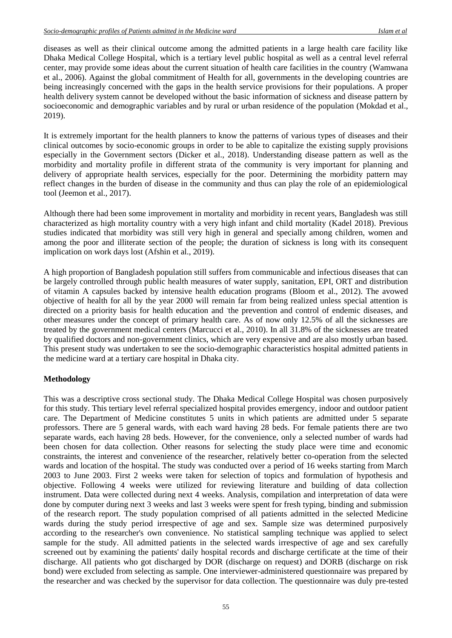diseases as well as their clinical outcome among the admitted patients in a large health care facility like Dhaka Medical College Hospital, which is a tertiary level public hospital as well as a central level referral center, may provide some ideas about the current situation of health care facilities in the country (Wamwana et al., 2006). Against the global commitment of Health for all, governments in the developing countries are being increasingly concerned with the gaps in the health service provisions for their populations. A proper health delivery system cannot be developed without the basic information of sickness and disease pattern by socioeconomic and demographic variables and by rural or urban residence of the population (Mokdad et al., 2019).

It is extremely important for the health planners to know the patterns of various types of diseases and their clinical outcomes by socio-economic groups in order to be able to capitalize the existing supply provisions especially in the Government sectors (Dicker et al., 2018). Understanding disease pattern as well as the morbidity and mortality profile in different strata of the community is very important for planning and delivery of appropriate health services, especially for the poor. Determining the morbidity pattern may reflect changes in the burden of disease in the community and thus can play the role of an epidemiological tool (Jeemon et al., 2017).

Although there had been some improvement in mortality and morbidity in recent years, Bangladesh was still characterized as high mortality country with a very high infant and child mortality (Kadel 2018). Previous studies indicated that morbidity was still very high in general and specially among children, women and among the poor and illiterate section of the people; the duration of sickness is long with its consequent implication on work days lost (Afshin et al., 2019).

A high proportion of Bangladesh population still suffers from communicable and infectious diseases that can be largely controlled through public health measures of water supply, sanitation, EPI, ORT and distribution of vitamin A capsules backed by intensive health education programs (Bloom et al., 2012). The avowed objective of health for all by the year 2000 will remain far from being realized unless special attention is directed on a priority basis for health education and the prevention and control of endemic diseases, and other measures under the concept of primary health care. As of now only 12.5% of all the sicknesses are treated by the government medical centers (Marcucci et al., 2010). In all 31.8% of the sicknesses are treated by qualified doctors and non-government clinics, which are very expensive and are also mostly urban based. This present study was undertaken to see the socio-demographic characteristics hospital admitted patients in the medicine ward at a tertiary care hospital in Dhaka city.

## **Methodology**

This was a descriptive cross sectional study. The Dhaka Medical College Hospital was chosen purposively for this study. This tertiary level referral specialized hospital provides emergency, indoor and outdoor patient care. The Department of Medicine constitutes 5 units in which patients are admitted under 5 separate professors. There are 5 general wards, with each ward having 28 beds. For female patients there are two separate wards, each having 28 beds. However, for the convenience, only a selected number of wards had been chosen for data collection. Other reasons for selecting the study place were time and economic constraints, the interest and convenience of the researcher, relatively better co-operation from the selected wards and location of the hospital. The study was conducted over a period of 16 weeks starting from March 2003 to June 2003. First 2 weeks were taken for selection of topics and formulation of hypothesis and objective. Following 4 weeks were utilized for reviewing literature and building of data collection instrument. Data were collected during next 4 weeks. Analysis, compilation and interpretation of data were done by computer during next 3 weeks and last 3 weeks were spent for fresh typing, binding and submission of the research report. The study population comprised of all patients admitted in the selected Medicine wards during the study period irrespective of age and sex. Sample size was determined purposively according to the researcher's own convenience. No statistical sampling technique was applied to select sample for the study. All admitted patients in the selected wards irrespective of age and sex carefully screened out by examining the patients' daily hospital records and discharge certificate at the time of their discharge. All patients who got discharged by DOR (discharge on request) and DORB (discharge on risk bond) were excluded from selecting as sample. One interviewer-administered questionnaire was prepared by the researcher and was checked by the supervisor for data collection. The questionnaire was duly pre-tested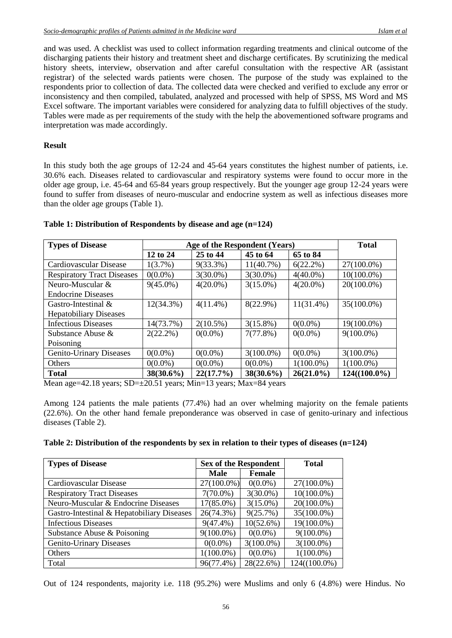and was used. A checklist was used to collect information regarding treatments and clinical outcome of the discharging patients their history and treatment sheet and discharge certificates. By scrutinizing the medical history sheets, interview, observation and after careful consultation with the respective AR (assistant registrar) of the selected wards patients were chosen. The purpose of the study was explained to the respondents prior to collection of data. The collected data were checked and verified to exclude any error or inconsistency and then compiled, tabulated, analyzed and processed with help of SPSS, MS Word and MS Excel software. The important variables were considered for analyzing data to fulfill objectives of the study. Tables were made as per requirements of the study with the help the abovementioned software programs and interpretation was made accordingly.

## **Result**

In this study both the age groups of 12-24 and 45-64 years constitutes the highest number of patients, i.e. 30.6% each. Diseases related to cardiovascular and respiratory systems were found to occur more in the older age group, i.e. 45-64 and 65-84 years group respectively. But the younger age group 12-24 years were found to suffer from diseases of neuro-muscular and endocrine system as well as infectious diseases more than the older age groups (Table 1).

| <b>Types of Disease</b>           | Age of the Respondent (Years) | <b>Total</b> |              |              |                 |
|-----------------------------------|-------------------------------|--------------|--------------|--------------|-----------------|
|                                   | 12 to 24                      | 25 to 44     | 45 to 64     | 65 to 84     |                 |
| Cardiovascular Disease            | 1(3.7%)                       | $9(33.3\%)$  | $11(40.7\%)$ | $6(22.2\%)$  | $27(100.0\%)$   |
| <b>Respiratory Tract Diseases</b> | $0(0.0\%)$                    | $3(30.0\%)$  | $3(30.0\%)$  | $4(40.0\%)$  | $10(100.0\%)$   |
| Neuro-Muscular $&$                | $9(45.0\%)$                   | $4(20.0\%)$  | $3(15.0\%)$  | $4(20.0\%)$  | $20(100.0\%)$   |
| <b>Endocrine Diseases</b>         |                               |              |              |              |                 |
| Gastro-Intestinal $\&$            | $12(34.3\%)$                  | $4(11.4\%)$  | $8(22.9\%)$  | $11(31.4\%)$ | $35(100.0\%)$   |
| <b>Hepatobiliary Diseases</b>     |                               |              |              |              |                 |
| <b>Infectious Diseases</b>        | 14(73.7%)                     | $2(10.5\%)$  | $3(15.8\%)$  | $0(0.0\%)$   | 19(100.0%)      |
| Substance Abuse $\&$              | $2(22.2\%)$                   | $0(0.0\%)$   | 7(77.8%)     | $0(0.0\%)$   | $9(100.0\%)$    |
| Poisoning                         |                               |              |              |              |                 |
| <b>Genito-Urinary Diseases</b>    | $0(0.0\%)$                    | $0(0.0\%)$   | $3(100.0\%)$ | $0(0.0\%)$   | $3(100.0\%)$    |
| Others                            | $0(0.0\%)$                    | $0(0.0\%)$   | $0(0.0\%)$   | $1(100.0\%)$ | $1(100.0\%)$    |
| <b>Total</b>                      | $38(30.6\%)$                  | 22(17.7%)    | $38(30.6\%)$ | $26(21.0\%)$ | $124((100.0\%)$ |

## **Table 1: Distribution of Respondents by disease and age (n=124)**

Mean age=42.18 years; SD= $\pm$ 20.51 years; Min=13 years; Max=84 years

Among 124 patients the male patients (77.4%) had an over whelming majority on the female patients (22.6%). On the other hand female preponderance was observed in case of genito-urinary and infectious diseases (Table 2).

| Table 2: Distribution of the respondents by sex in relation to their types of diseases $(n=124)$ |  |  |  |
|--------------------------------------------------------------------------------------------------|--|--|--|
|                                                                                                  |  |  |  |

| <b>Types of Disease</b>                    | <b>Sex of the Respondent</b> | <b>Total</b>  |                 |
|--------------------------------------------|------------------------------|---------------|-----------------|
|                                            | <b>Male</b>                  | <b>Female</b> |                 |
| Cardiovascular Disease                     | 27(100.0%)                   | $0(0.0\%)$    | 27(100.0%)      |
| <b>Respiratory Tract Diseases</b>          | $7(70.0\%)$                  | $3(30.0\%)$   | $10(100.0\%)$   |
| Neuro-Muscular & Endocrine Diseases        | $17(85.0\%)$                 | $3(15.0\%)$   | 20(100.0%)      |
| Gastro-Intestinal & Hepatobiliary Diseases | 26(74.3%)                    | 9(25.7%)      | 35(100.0%)      |
| <b>Infectious Diseases</b>                 | $9(47.4\%)$                  | 10(52.6%)     | 19(100.0%)      |
| Substance Abuse & Poisoning                | $9(100.0\%)$                 | $0(0.0\%)$    | $9(100.0\%)$    |
| <b>Genito-Urinary Diseases</b>             | $0(0.0\%)$                   | $3(100.0\%)$  | $3(100.0\%)$    |
| Others                                     | $1(100.0\%)$                 | $0(0.0\%)$    | $1(100.0\%)$    |
| Total                                      | 96(77.4%)                    | 28(22.6%)     | $124((100.0\%)$ |

Out of 124 respondents, majority i.e. 118 (95.2%) were Muslims and only 6 (4.8%) were Hindus. No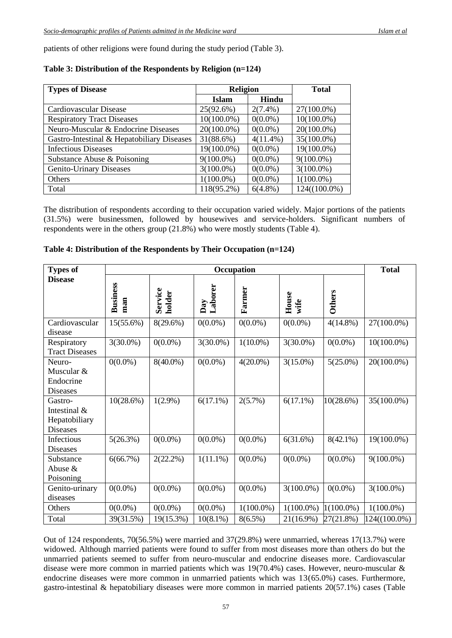patients of other religions were found during the study period (Table 3).

| <b>Types of Disease</b>                    | <b>Religion</b> | <b>Total</b> |                 |
|--------------------------------------------|-----------------|--------------|-----------------|
|                                            | Islam           | Hindu        |                 |
| Cardiovascular Disease                     | 25(92.6%)       | $2(7.4\%)$   | 27(100.0%)      |
| <b>Respiratory Tract Diseases</b>          | $10(100.0\%)$   | $0(0.0\%)$   | $10(100.0\%)$   |
| Neuro-Muscular & Endocrine Diseases        | $20(100.0\%)$   | $0(0.0\%)$   | $20(100.0\%)$   |
| Gastro-Intestinal & Hepatobiliary Diseases | 31(88.6%)       | $4(11.4\%)$  | $35(100.0\%)$   |
| <b>Infectious Diseases</b>                 | 19(100.0%)      | $0(0.0\%)$   | 19(100.0%)      |
| Substance Abuse & Poisoning                | $9(100.0\%)$    | $0(0.0\%)$   | $9(100.0\%)$    |
| Genito-Urinary Diseases                    | $3(100.0\%)$    | $0(0.0\%)$   | $3(100.0\%)$    |
| Others                                     | $1(100.0\%)$    | $0(0.0\%)$   | $1(100.0\%)$    |
| Total                                      | 118(95.2%)      | $6(4.8\%)$   | $124((100.0\%)$ |

## **Table 3: Distribution of the Respondents by Religion (n=124)**

The distribution of respondents according to their occupation varied widely. Major portions of the patients (31.5%) were businessmen, followed by housewives and service-holders. Significant numbers of respondents were in the others group (21.8%) who were mostly students (Table 4).

| <b>Types of</b>                                        |                        |                   | <b>Total</b>   |              |               |               |               |
|--------------------------------------------------------|------------------------|-------------------|----------------|--------------|---------------|---------------|---------------|
| <b>Disease</b>                                         | <b>Business</b><br>man | Service<br>holder | Day<br>Laborer | Farmer       | House<br>wife | <b>Others</b> |               |
| Cardiovascular<br>disease                              | $15(55.6\%)$           | 8(29.6%)          | $0(0.0\%)$     | $0(0.0\%)$   | $0(0.0\%)$    | $4(14.8\%)$   | 27(100.0%)    |
| Respiratory<br><b>Tract Diseases</b>                   | $3(30.0\%)$            | $0(0.0\%)$        | $3(30.0\%)$    | $1(10.0\%)$  | $3(30.0\%)$   | $0(0.0\%)$    | $10(100.0\%)$ |
| Neuro-<br>Muscular &<br>Endocrine<br><b>Diseases</b>   | $0(0.0\%)$             | $8(40.0\%)$       | $0(0.0\%)$     | $4(20.0\%)$  | $3(15.0\%)$   | $5(25.0\%)$   | 20(100.0%)    |
| Gastro-<br>Intestinal $&$<br>Hepatobiliary<br>Diseases | 10(28.6%)              | $1(2.9\%)$        | $6(17.1\%)$    | 2(5.7%)      | $6(17.1\%)$   | 10(28.6%)     | 35(100.0%)    |
| Infectious<br><b>Diseases</b>                          | 5(26.3%)               | $0(0.0\%)$        | $0(0.0\%)$     | $0(0.0\%)$   | 6(31.6%)      | $8(42.1\%)$   | 19(100.0%)    |
| Substance<br>Abuse &<br>Poisoning                      | 6(66.7%)               | 2(22.2%)          | $1(11.1\%)$    | $0(0.0\%)$   | $0(0.0\%)$    | $0(0.0\%)$    | $9(100.0\%)$  |
| Genito-urinary<br>diseases                             | $0(0.0\%)$             | $0(0.0\%)$        | $0(0.0\%)$     | $0(0.0\%)$   | $3(100.0\%)$  | $0(0.0\%)$    | $3(100.0\%)$  |
| Others                                                 | $0(0.0\%)$             | $0(0.0\%)$        | $0(0.0\%)$     | $1(100.0\%)$ | $1(100.0\%)$  | $1(100.0\%)$  | $1(100.0\%)$  |
| Total                                                  | 39(31.5%)              | 19(15.3%)         | $10(8.1\%)$    | $8(6.5\%)$   | 21(16.9%)     | 27(21.8%)     | 124((100.0%)  |

|  |  | Table 4: Distribution of the Respondents by Their Occupation (n=124) |
|--|--|----------------------------------------------------------------------|
|--|--|----------------------------------------------------------------------|

Out of 124 respondents, 70(56.5%) were married and 37(29.8%) were unmarried, whereas 17(13.7%) were widowed. Although married patients were found to suffer from most diseases more than others do but the unmarried patients seemed to suffer from neuro-muscular and endocrine diseases more. Cardiovascular disease were more common in married patients which was 19(70.4%) cases. However, neuro-muscular & endocrine diseases were more common in unmarried patients which was 13(65.0%) cases. Furthermore, gastro-intestinal & hepatobiliary diseases were more common in married patients 20(57.1%) cases (Table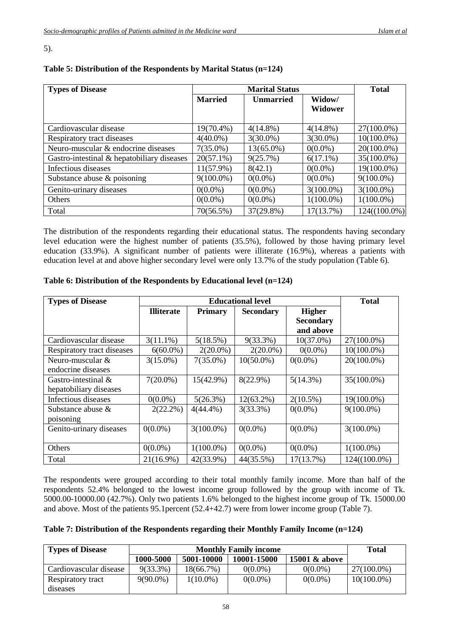### 5).

| <b>Types of Disease</b>                    |                | <b>Total</b>     |                |                 |
|--------------------------------------------|----------------|------------------|----------------|-----------------|
|                                            | <b>Married</b> | <b>Unmarried</b> | Widow/         |                 |
|                                            |                |                  | <b>Widower</b> |                 |
|                                            |                |                  |                |                 |
| Cardiovascular disease                     | 19(70.4%)      | $4(14.8\%)$      | $4(14.8\%)$    | 27(100.0%)      |
| Respiratory tract diseases                 | $4(40.0\%)$    | $3(30.0\%)$      | $3(30.0\%)$    | $10(100.0\%)$   |
| Neuro-muscular & endocrine diseases        | $7(35.0\%)$    | 13(65.0%)        | $0(0.0\%)$     | 20(100.0%)      |
| Gastro-intestinal & hepatobiliary diseases | $20(57.1\%)$   | 9(25.7%)         | $6(17.1\%)$    | 35(100.0%)      |
| Infectious diseases                        | $11(57.9\%)$   | 8(42.1)          | $0(0.0\%)$     | 19(100.0%)      |
| Substance abuse $\&$ poisoning             | $9(100.0\%)$   | $0(0.0\%)$       | $0(0.0\%)$     | $9(100.0\%)$    |
| Genito-urinary diseases                    | $0(0.0\%)$     | $0(0.0\%)$       | $3(100.0\%)$   | $3(100.0\%)$    |
| Others                                     | $0(0.0\%)$     | $0(0.0\%)$       | $1(100.0\%)$   | $1(100.0\%)$    |
| Total                                      | 70(56.5%)      | 37(29.8%)        | 17(13.7%)      | $124((100.0\%)$ |

# **Table 5: Distribution of the Respondents by Marital Status (n=124)**

The distribution of the respondents regarding their educational status. The respondents having secondary level education were the highest number of patients (35.5%), followed by those having primary level education (33.9%). A significant number of patients were illiterate (16.9%), whereas a patients with education level at and above higher secondary level were only 13.7% of the study population (Table 6).

| <b>Types of Disease</b>    |                   | <b>Educational level</b> |                  |                  |               |  |  |
|----------------------------|-------------------|--------------------------|------------------|------------------|---------------|--|--|
|                            | <b>Illiterate</b> | <b>Primary</b>           | <b>Secondary</b> | <b>Higher</b>    |               |  |  |
|                            |                   |                          |                  | <b>Secondary</b> |               |  |  |
|                            |                   |                          |                  | and above        |               |  |  |
| Cardiovascular disease     | $3(11.1\%)$       | 5(18.5%)                 | $9(33.3\%)$      | $10(37.0\%)$     | 27(100.0%)    |  |  |
| Respiratory tract diseases | $6(60.0\%)$       | $2(20.0\%)$              | $2(20.0\%)$      | $0(0.0\%)$       | $10(100.0\%)$ |  |  |
| Neuro-muscular &           | $3(15.0\%)$       | $7(35.0\%)$              | $10(50.0\%)$     | $0(0.0\%)$       | $20(100.0\%)$ |  |  |
| endocrine diseases         |                   |                          |                  |                  |               |  |  |
| Gastro-intestinal $\&$     | $7(20.0\%)$       | $15(42.9\%)$             | $8(22.9\%)$      | $5(14.3\%)$      | 35(100.0%)    |  |  |
| hepatobiliary diseases     |                   |                          |                  |                  |               |  |  |
| Infectious diseases        | $0(0.0\%)$        | 5(26.3%)                 | $12(63.2\%)$     | $2(10.5\%)$      | 19(100.0%)    |  |  |
| Substance abuse $\&$       | $2(22.2\%)$       | $4(44.4\%)$              | 3(33.3%)         | $0(0.0\%)$       | $9(100.0\%)$  |  |  |
| poisoning                  |                   |                          |                  |                  |               |  |  |
| Genito-urinary diseases    | $0(0.0\%)$        | $3(100.0\%)$             | $0(0.0\%)$       | $0(0.0\%)$       | $3(100.0\%)$  |  |  |
|                            |                   |                          |                  |                  |               |  |  |
| Others                     | $0(0.0\%)$        | $1(100.0\%)$             | $0(0.0\%)$       | $0(0.0\%)$       | $1(100.0\%)$  |  |  |
| Total                      | $21(16.9\%)$      | 42(33.9%)                | 44(35.5%)        | 17(13.7%)        | 124((100.0%)  |  |  |

## **Table 6: Distribution of the Respondents by Educational level (n=124)**

The respondents were grouped according to their total monthly family income. More than half of the respondents 52.4% belonged to the lowest income group followed by the group with income of Tk. 5000.00-10000.00 (42.7%). Only two patients 1.6% belonged to the highest income group of Tk. 15000.00 and above. Most of the patients 95.1percent (52.4+42.7) were from lower income group (Table 7).

## **Table 7: Distribution of the Respondents regarding their Monthly Family Income (n=124)**

| <b>Types of Disease</b> |             | <b>Total</b> |            |            |               |
|-------------------------|-------------|--------------|------------|------------|---------------|
|                         | 1000-5000   |              |            |            |               |
| Cardiovascular disease  | $9(33.3\%)$ | $18(66.7\%)$ | $0(0.0\%)$ | $0(0.0\%)$ | $27(100.0\%)$ |
| Respiratory tract       | $9(90.0\%)$ | $1(10.0\%)$  | $0(0.0\%)$ | $0(0.0\%)$ | $10(100.0\%)$ |
| diseases                |             |              |            |            |               |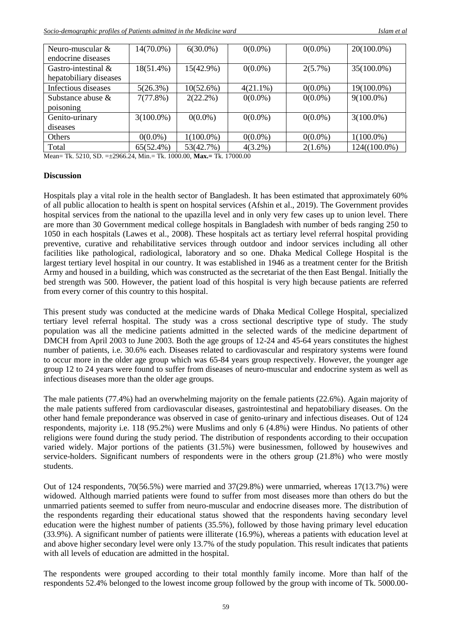| Neuro-muscular $&$     | 14(70.0%)    | $6(30.0\%)$  | $0(0.0\%)$  | $0(0.0\%)$ | $20(100.0\%)$   |
|------------------------|--------------|--------------|-------------|------------|-----------------|
| endocrine diseases     |              |              |             |            |                 |
| Gastro-intestinal $\&$ | 18(51.4%)    | 15(42.9%)    | $0(0.0\%)$  | $2(5.7\%)$ | 35(100.0%)      |
| hepatobiliary diseases |              |              |             |            |                 |
| Infectious diseases    | 5(26.3%)     | 10(52.6%)    | $4(21.1\%)$ | $0(0.0\%)$ | 19(100.0%)      |
| Substance abuse $\&$   | 7(77.8%)     | $2(22.2\%)$  | $0(0.0\%)$  | $0(0.0\%)$ | $9(100.0\%)$    |
| poisoning              |              |              |             |            |                 |
| Genito-urinary         | $3(100.0\%)$ | $0(0.0\%)$   | $0(0.0\%)$  | $0(0.0\%)$ | $3(100.0\%)$    |
| diseases               |              |              |             |            |                 |
| Others                 | $0(0.0\%)$   | $1(100.0\%)$ | $0(0.0\%)$  | $0(0.0\%)$ | $1(100.0\%)$    |
| Total                  | $65(52.4\%)$ | 53(42.7%)    | $4(3.2\%)$  | $2(1.6\%)$ | $124((100.0\%)$ |

Mean= Tk. 5210, SD. =±2966.24, Min.= Tk. 1000.00, **Max.=** Tk. 17000.00

#### **Discussion**

Hospitals play a vital role in the health sector of Bangladesh. It has been estimated that approximately 60% of all public allocation to health is spent on hospital services (Afshin et al., 2019). The Government provides hospital services from the national to the upazilla level and in only very few cases up to union level. There are more than 30 Government medical college hospitals in Bangladesh with number of beds ranging 250 to 1050 in each hospitals (Lawes et al., 2008). These hospitals act as tertiary level referral hospital providing preventive, curative and rehabilitative services through outdoor and indoor services including all other facilities like pathological, radiological, laboratory and so one. Dhaka Medical College Hospital is the largest tertiary level hospital in our country. It was established in 1946 as a treatment center for the British Army and housed in a building, which was constructed as the secretariat of the then East Bengal. Initially the bed strength was 500. However, the patient load of this hospital is very high because patients are referred from every corner of this country to this hospital.

This present study was conducted at the medicine wards of Dhaka Medical College Hospital, specialized tertiary level referral hospital. The study was a cross sectional descriptive type of study. The study population was all the medicine patients admitted in the selected wards of the medicine department of DMCH from April 2003 to June 2003. Both the age groups of 12-24 and 45-64 years constitutes the highest number of patients, i.e. 30.6% each. Diseases related to cardiovascular and respiratory systems were found to occur more in the older age group which was 65-84 years group respectively. However, the younger age group 12 to 24 years were found to suffer from diseases of neuro-muscular and endocrine system as well as infectious diseases more than the older age groups.

The male patients (77.4%) had an overwhelming majority on the female patients (22.6%). Again majority of the male patients suffered from cardiovascular diseases, gastrointestinal and hepatobiliary diseases. On the other hand female preponderance was observed in case of genito-urinary and infectious diseases. Out of 124 respondents, majority i.e. 118 (95.2%) were Muslims and only 6 (4.8%) were Hindus. No patients of other religions were found during the study period. The distribution of respondents according to their occupation varied widely. Major portions of the patients (31.5%) were businessmen, followed by housewives and service-holders. Significant numbers of respondents were in the others group (21.8%) who were mostly students.

Out of 124 respondents, 70(56.5%) were married and 37(29.8%) were unmarried, whereas 17(13.7%) were widowed. Although married patients were found to suffer from most diseases more than others do but the unmarried patients seemed to suffer from neuro-muscular and endocrine diseases more. The distribution of the respondents regarding their educational status showed that the respondents having secondary level education were the highest number of patients (35.5%), followed by those having primary level education (33.9%). A significant number of patients were illiterate (16.9%), whereas a patients with education level at and above higher secondary level were only 13.7% of the study population. This result indicates that patients with all levels of education are admitted in the hospital.

The respondents were grouped according to their total monthly family income. More than half of the respondents 52.4% belonged to the lowest income group followed by the group with income of Tk. 5000.00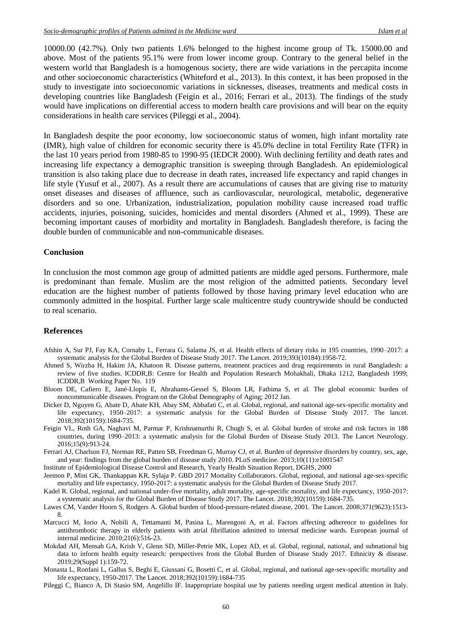10000.00 (42.7%). Only two patients 1.6% belonged to the highest income group of Tk. 15000.00 and above. Most of the patients 95.1% were from lower income group. Contrary to the general belief in the western world that Bangladesh is a homogenous society, there are wide variations in the percapita income and other socioeconomic characteristics (Whiteford et al., 2013). In this context, it has been proposed in the study to investigate into socioeconomic variations in sicknesses, diseases, treatments and medical costs in developing countries like Bangladesh (Feigin et al., 2016; Ferrari et al., 2013). The findings of the study would have implications on differential access to modern health care provisions and will bear on the equity considerations in health care services (Pileggi et al., 2004).

In Bangladesh despite the poor economy, low socioeconomic status of women, high infant mortality rate (IMR), high value of children for economic security there is 45.0% decline in total Fertility Rate (TFR) in the last 10 years period from 1980-85 to 1990-95 (IEDCR 2000). With declining fertility and death rates and increasing life expectancy a demographic transition is sweeping through Bangladesh. An epidemiological transition is also taking place due to decrease in death rates, increased life expectancy and rapid changes in life style (Yusuf et al., 2007). As a result there are accumulations of causes that are giving rise to maturity onset diseases and diseases of affluence, such as cardiovascular, neurological, metabolic, degenerative disorders and so one. Urbanization, industrialization, population mobility cause increased road traffic accidents, injuries, poisoning, suicides, homicides and mental disorders (Ahmed et al., 1999). These are becoming important causes of morbidity and mortality in Bangladesh. Bangladesh therefore, is facing the double burden of communicable and non-communicable diseases.

#### **Conclusion**

In conclusion the most common age group of admitted patients are middle aged persons. Furthermore, male is predominant than female. Muslim are the most religion of the admitted patients. Secondary level education are the highest number of patients followed by those having primary level education who are commonly admitted in the hospital. Further large scale multicentre study countrywide should be conducted to real scenario.

#### **References**

- Afshin A, Sur PJ, Fay KA, Cornaby L, Ferrara G, Salama JS, et al. Health effects of dietary risks in 195 countries, 1990–2017: a systematic analysis for the Global Burden of Disease Study 2017. The Lancet. 2019;393(10184):1958-72.
- Ahmed S, Wirzba H, Hakim JA, Khatoon R. Disease patterns, treatment practices and drug requirements in rural Bangladesh: a review of five studies. ICDDR,B: Centre for Health and Population Research Mohakhali, Dhaka 1212, Bangladesh 1999; ICDDR,B Working Paper No. 119
- Bloom DE, Cafiero E, Jané-Llopis E, Abrahams-Gessel S, Bloom LR, Fathima S, et al. The global economic burden of noncommunicable diseases. Program on the Global Demography of Aging; 2012 Jan.
- Dicker D, Nguyen G, Abate D, Abate KH, Abay SM, Abbafati C, et al. Global, regional, and national age-sex-specific mortality and life expectancy, 1950–2017: a systematic analysis for the Global Burden of Disease Study 2017. The lancet. 2018;392(10159):1684-735.
- Feigin VL, Roth GA, Naghavi M, Parmar P, Krishnamurthi R, Chugh S, et al. Global burden of stroke and risk factors in 188 countries, during 1990–2013: a systematic analysis for the Global Burden of Disease Study 2013. The Lancet Neurology. 2016;15(9):913-24.
- Ferrari AJ, Charlson FJ, Norman RE, Patten SB, Freedman G, Murray CJ, et al. Burden of depressive disorders by country, sex, age, and year: findings from the global burden of disease study 2010. PLoS medicine. 2013;10(11):e1001547
- Institute of Epidemiological Disease Control and Research, Yearly Health Situation Report, DGHS, 2000
- Jeemon P, Mini GK, Thankappan KR, Sylaja P. GBD 2017 Mortality Collaborators. Global, regional, and national age-sex-specific mortality and life expectancy, 1950-2017: a systematic analysis for the Global Burden of Disease Study 2017.
- Kadel R. Global, regional, and national under-five mortality, adult mortality, age-specific mortality, and life expectancy, 1950-2017: a systematic analysis for the Global Burden of Disease Study 2017. The Lancet. 2018;392(10159):1684-735.
- Lawes CM, Vander Hoorn S, Rodgers A. Global burden of blood-pressure-related disease, 2001. The Lancet. 2008;371(9623):1513- 8.
- Marcucci M, Iorio A, Nobili A, Tettamanti M, Pasina L, Marengoni A, et al. Factors affecting adherence to guidelines for antithrombotic therapy in elderly patients with atrial fibrillation admitted to internal medicine wards. European journal of internal medicine. 2010;21(6):516-23.
- Mokdad AH, Mensah GA, Krish V, Glenn SD, Miller-Petrie MK, Lopez AD, et al. Global, regional, national, and subnational big data to inform health equity research: perspectives from the Global Burden of Disease Study 2017. Ethnicity & disease. 2019;29(Suppl 1):159-72.
- Monasta L, Ronfani L, Gallus S, Beghi E, Giussani G, Bosetti C, et al. Global, regional, and national age-sex-specific mortality and life expectancy, 1950-2017. The Lancet. 2018;392(10159):1684-735
- Pileggi C, Bianco A, Di Stasio SM, Angelillo IF. Inappropriate hospital use by patients needing urgent medical attention in Italy.